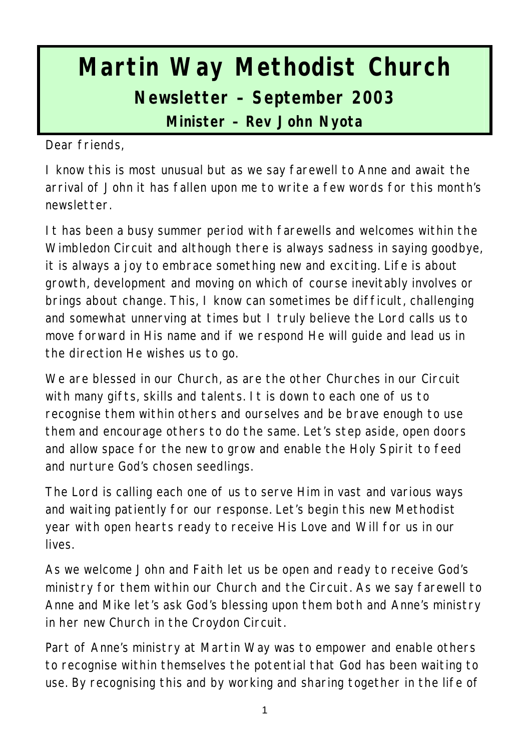# **Martin Way Methodist Church Newsletter – September 2003**

**Minister – Rev John Nyota**

Dear friends,

I know this is most unusual but as we say farewell to Anne and await the arrival of John it has fallen upon me to write a few words for this month's newsletter.

It has been a busy summer period with farewells and welcomes within the Wimbledon Circuit and although there is always sadness in saying goodbye, it is always a joy to embrace something new and exciting. Life is about growth, development and moving on which of course inevitably involves or brings about change. This, I know can sometimes be difficult, challenging and somewhat unnerving at times but I truly believe the Lord calls us to move forward in His name and if we respond He will guide and lead us in the direction He wishes us to go.

We are blessed in our Church, as are the other Churches in our Circuit with many gifts, skills and talents. It is down to each one of us to recognise them within others and ourselves and be brave enough to use them and encourage others to do the same. Let's step aside, open doors and allow space for the new to grow and enable the Holy Spirit to feed and nurture God's chosen seedlings.

The Lord is calling each one of us to serve Him in vast and various ways and waiting patiently for our response. Let's begin this new Methodist year with open hearts ready to receive His Love and Will for us in our lives.

As we welcome John and Faith let us be open and ready to receive God's ministry for them within our Church and the Circuit. As we say farewell to Anne and Mike let's ask God's blessing upon them both and Anne's ministry in her new Church in the Croydon Circuit.

Part of Anne's ministry at Martin Way was to empower and enable others to recognise within themselves the potential that God has been waiting to use. By recognising this and by working and sharing together in the life of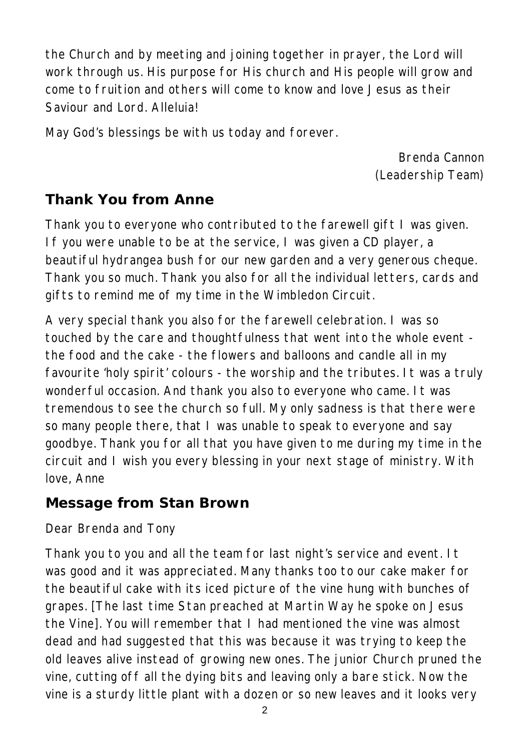the Church and by meeting and joining together in prayer, the Lord will work through us. His purpose for His church and His people will grow and come to fruition and others will come to know and love Jesus as their Saviour and Lord. Alleluia!

May God's blessings be with us today and forever.

*Brenda Cannon (Leadership Team)*

## **Thank You from Anne**

Thank you to everyone who contributed to the farewell gift I was given. If you were unable to be at the service, I was given a CD player, a beautiful hydrangea bush for our new garden and a very generous cheque. Thank you so much. Thank you also for all the individual letters, cards and gifts to remind me of my time in the Wimbledon Circuit.

A very special thank you also for the farewell celebration. I was so touched by the care and thoughtfulness that went into the whole event the food and the cake - the flowers and balloons and candle all in my favourite 'holy spirit' colours - the worship and the tributes. It was a truly wonderful occasion. And thank you also to everyone who came. It was tremendous to see the church so full. My only sadness is that there were so many people there, that I was unable to speak to everyone and say goodbye. Thank you for all that you have given to me during my time in the circuit and I wish you every blessing in your next stage of ministry. With love, Anne

#### **Message from Stan Brown**

Dear Brenda and Tony

Thank you to you and all the team for last night's service and event. It was good and it was appreciated. Many thanks too to our cake maker for the beautiful cake with its iced picture of the vine hung with bunches of grapes. [The last time Stan preached at Martin Way he spoke on Jesus the Vine]. You will remember that I had mentioned the vine was almost dead and had suggested that this was because it was trying to keep the old leaves alive instead of growing new ones. The junior Church pruned the vine, cutting off all the dying bits and leaving only a bare stick. Now the vine is a sturdy little plant with a dozen or so new leaves and it looks very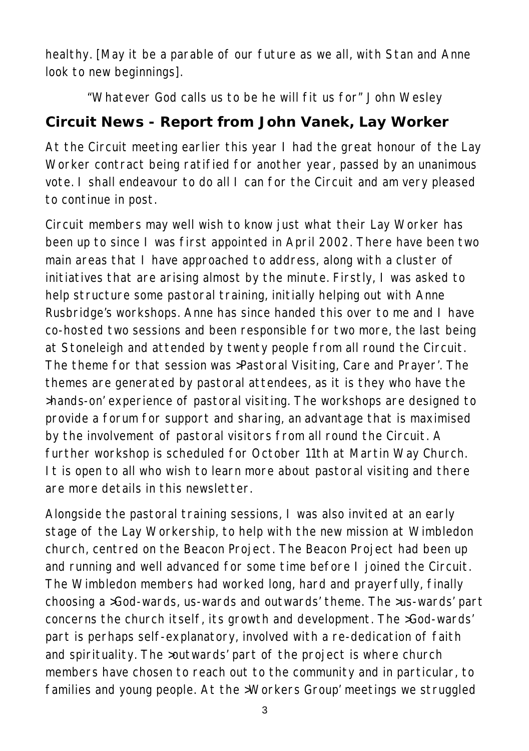healthy. [May it be a parable of our future as we all, with Stan and Anne look to new beginnings].

*"Whatever God calls us to be he will fit us for" John Wesley*

# **Circuit News - Report from John Vanek, Lay Worker**

At the Circuit meeting earlier this year I had the great honour of the Lay Worker contract being ratified for another year, passed by an unanimous vote. I shall endeavour to do all I can for the Circuit and am very pleased to continue in post.

Circuit members may well wish to know just what their Lay Worker has been up to since I was first appointed in April 2002. There have been two main areas that I have approached to address, along with a cluster of initiatives that are arising almost by the minute. Firstly, I was asked to help structure some pastoral training, initially helping out with Anne Rusbridge's workshops. Anne has since handed this over to me and I have co-hosted two sessions and been responsible for two more, the last being at Stoneleigh and attended by twenty people from all round the Circuit. The theme for that session was >Pastoral Visiting, Care and Prayer'. The themes are generated by pastoral attendees, as it is they who have the >hands-on' experience of pastoral visiting. The workshops are designed to provide a forum for support and sharing, an advantage that is maximised by the involvement of pastoral visitors from all round the Circuit. A further workshop is scheduled for October 11th at Martin Way Church. It is open to all who wish to learn more about pastoral visiting and there are more details in this newsletter.

Alongside the pastoral training sessions, I was also invited at an early stage of the Lay Workership, to help with the new mission at Wimbledon church, centred on the Beacon Project. The Beacon Project had been up and running and well advanced for some time before I joined the Circuit. The Wimbledon members had worked long, hard and prayerfully, finally choosing a >God-wards, us-wards and outwards' theme. The >us-wards' part concerns the church itself, its growth and development. The >God-wards' part is perhaps self-explanatory, involved with a re-dedication of faith and spirituality. The >outwards' part of the project is where church members have chosen to reach out to the community and in particular, to families and young people. At the >Workers Group' meetings we struggled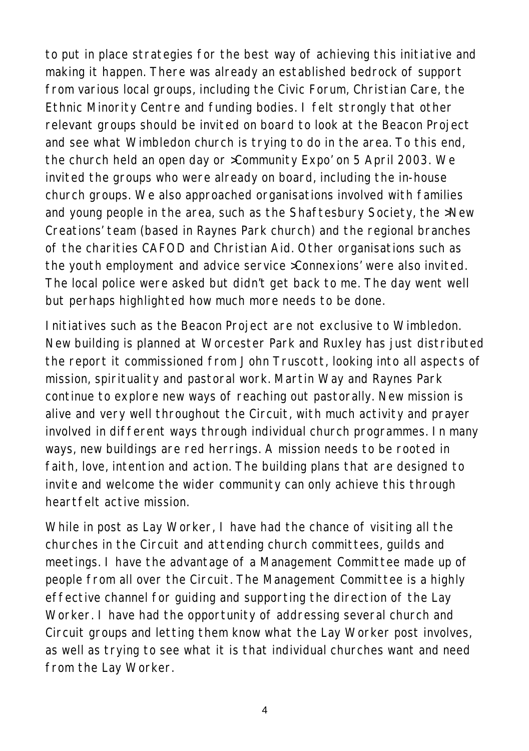to put in place strategies for the best way of achieving this initiative and making it happen. There was already an established bedrock of support from various local groups, including the Civic Forum, Christian Care, the Ethnic Minority Centre and funding bodies. I felt strongly that other relevant groups should be invited on board to look at the Beacon Project and see what Wimbledon church is trying to do in the area. To this end, the church held an open day or >Community Expo' on 5 April 2003. We invited the groups who were already on board, including the in-house church groups. We also approached organisations involved with families and young people in the area, such as the Shaftesbury Society, the >New Creations' team (based in Raynes Park church) and the regional branches of the charities CAFOD and Christian Aid. Other organisations such as the youth employment and advice service >Connexions' were also invited. The local police were asked but didn't get back to me. The day went well but perhaps highlighted how much more needs to be done.

Initiatives such as the Beacon Project are not exclusive to Wimbledon. New building is planned at Worcester Park and Ruxley has just distributed the report it commissioned from John Truscott, looking into all aspects of mission, spirituality and pastoral work. Martin Way and Raynes Park continue to explore new ways of reaching out pastorally. New mission is alive and very well throughout the Circuit, with much activity and prayer involved in different ways through individual church programmes. In many ways, new buildings are red herrings. A mission needs to be rooted in faith, love, intention and action. The building plans that are designed to invite and welcome the wider community can only achieve this through heartfelt active mission.

While in post as Lay Worker, I have had the chance of visiting all the churches in the Circuit and attending church committees, guilds and meetings. I have the advantage of a Management Committee made up of people from all over the Circuit. The Management Committee is a highly effective channel for guiding and supporting the direction of the Lay Worker. I have had the opportunity of addressing several church and Circuit groups and letting them know what the Lay Worker post involves, as well as trying to see what it is that individual churches want and need from the Lay Worker.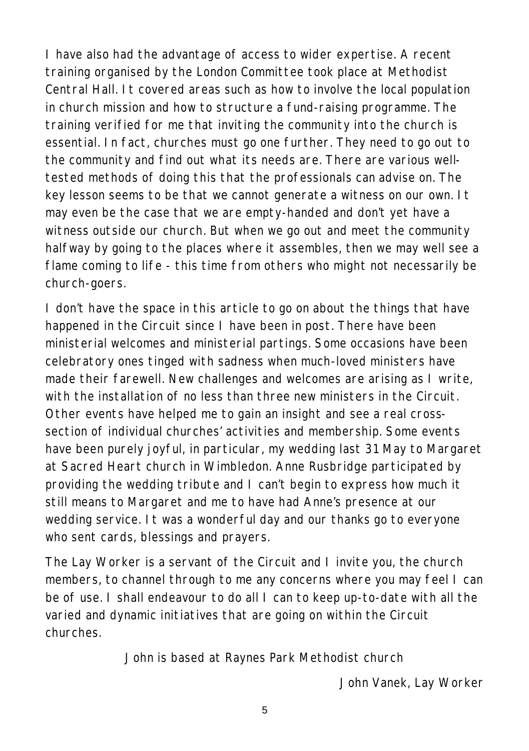I have also had the advantage of access to wider expertise. A recent training organised by the London Committee took place at Methodist Central Hall. It covered areas such as how to involve the local population in church mission and how to structure a fund-raising programme. The training verified for me that inviting the community into the church is essential. In fact, churches must go one further. They need to go out to the community and find out what its needs are. There are various welltested methods of doing this that the professionals can advise on. The key lesson seems to be that we cannot generate a witness on our own. It may even be the case that we are empty-handed and don't yet have a witness outside our church. But when we go out and meet the community halfway by going to the places where it assembles, then we may well see a flame coming to life - this time from others who might not necessarily be church-goers.

I don't have the space in this article to go on about the things that have happened in the Circuit since I have been in post. There have been ministerial welcomes and ministerial partings. Some occasions have been celebratory ones tinged with sadness when much-loved ministers have made their farewell. New challenges and welcomes are arising as I write, with the installation of no less than three new ministers in the Circuit. Other events have helped me to gain an insight and see a real crosssection of individual churches' activities and membership. Some events have been purely joyful, in particular, my wedding last 31 May to Margaret at Sacred Heart church in Wimbledon. Anne Rusbridge participated by providing the wedding tribute and I can't begin to express how much it still means to Margaret and me to have had Anne's presence at our wedding service. It was a wonderful day and our thanks go to everyone who sent cards, blessings and prayers.

The Lay Worker is a servant of the Circuit and I invite you, the church members, to channel through to me any concerns where you may feel I can be of use. I shall endeavour to do all I can to keep up-to-date with all the varied and dynamic initiatives that are going on within the Circuit churches.

*John is based at Raynes Park Methodist church*

*John Vanek, Lay Worker*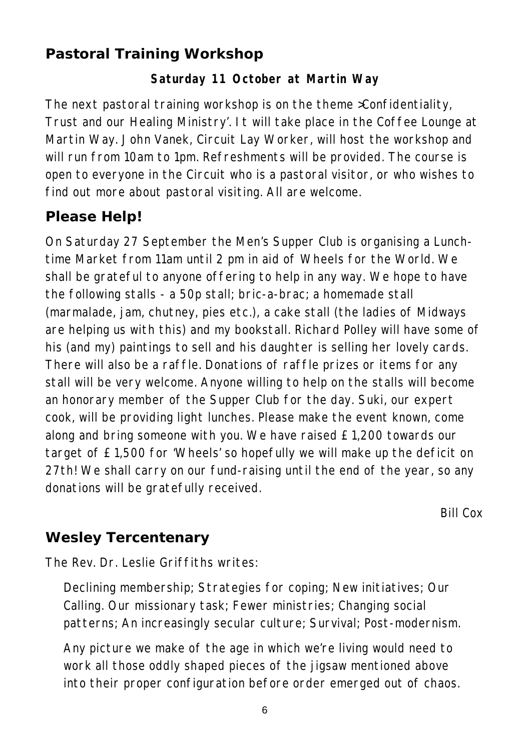## **Pastoral Training Workshop**

#### **Saturday 11 October at Martin Way**

The next pastoral training workshop is on the theme >Confidentiality, Trust and our Healing Ministry'. It will take place in the Coffee Lounge at Martin Way. John Vanek, Circuit Lay Worker, will host the workshop and will run from 10am to 1pm. Refreshments will be provided. The course is open to everyone in the Circuit who is a pastoral visitor, or who wishes to find out more about pastoral visiting. All are welcome.

## **Please Help!**

On Saturday 27 September the Men's Supper Club is organising a Lunchtime Market from 11am until 2 pm in aid of Wheels for the World. We shall be grateful to anyone offering to help in any way. We hope to have the following stalls - a 50p stall; bric-a-brac; a homemade stall (marmalade, jam, chutney, pies etc.), a cake stall (the ladies of Midways are helping us with this) and my bookstall. Richard Polley will have some of his (and my) paintings to sell and his daughter is selling her lovely cards. There will also be a raffle. Donations of raffle prizes or items for any stall will be very welcome. Anyone willing to help on the stalls will become an honorary member of the Supper Club for the day. Suki, our expert cook, will be providing light lunches. Please make the event known, come along and bring someone with you. We have raised £1,200 towards our target of £1,500 for 'Wheels' so hopefully we will make up the deficit on 27th! We shall carry on our fund-raising until the end of the year, so any donations will be gratefully received.

*Bill Cox*

## **Wesley Tercentenary**

The Rev. Dr. Leslie Griffiths writes:

Declining membership; Strategies for coping; New initiatives; Our Calling. Our missionary task; Fewer ministries; Changing social patterns; An increasingly secular culture; Survival; Post-modernism.

Any picture we make of the age in which we're living would need to work all those oddly shaped pieces of the jigsaw mentioned above into their proper configuration before order emerged out of chaos.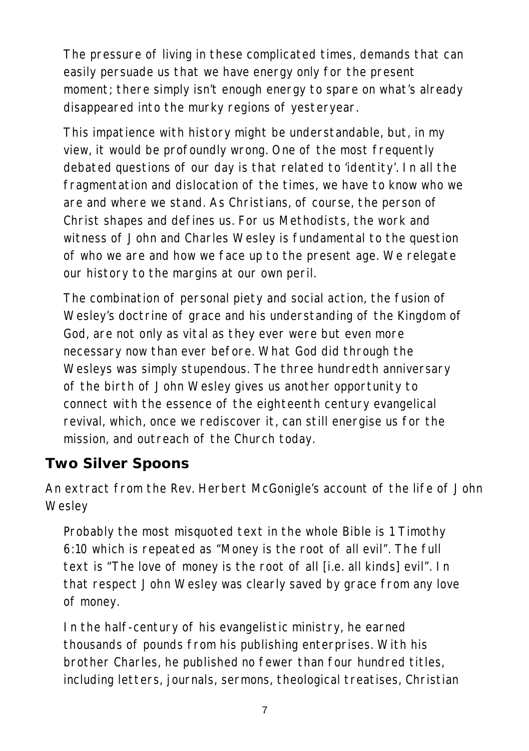The pressure of living in these complicated times, demands that can easily persuade us that we have energy only for the present moment; there simply isn't enough energy to spare on what's already disappeared into the murky regions of yesteryear.

This impatience with history might be understandable, but, in my view, it would be profoundly wrong. One of the most frequently debated questions of our day is that related to 'identity'. In all the fragmentation and dislocation of the times, we have to know who we are and where we stand. As Christians, of course, the person of Christ shapes and defines us. For us Methodists, the work and witness of John and Charles Wesley is fundamental to the question of who we are and how we face up to the present age. We relegate our history to the margins at our own peril.

The combination of personal piety and social action, the fusion of Wesley's doctrine of grace and his understanding of the Kingdom of God, are not only as vital as they ever were but even more necessary now than ever before. What God did through the Wesleys was simply stupendous. The three hundredth anniversary of the birth of John Wesley gives us another opportunity to connect with the essence of the eighteenth century evangelical revival, which, once we rediscover it, can still energise us for the mission, and outreach of the Church today.

## **Two Silver Spoons**

An extract from the Rev. Herbert McGonigle's account of the life of John **Wesley** 

Probably the most misquoted text in the whole Bible is 1 Timothy 6:10 which is repeated as "Money is the root of all evil". The full text is "The love of money is the root of all [i.e. all kinds] evil". In that respect John Wesley was clearly saved by grace from any love of money.

In the half-century of his evangelistic ministry, he earned thousands of pounds from his publishing enterprises. With his brother Charles, he published no fewer than four hundred titles, including letters, journals, sermons, theological treatises, Christian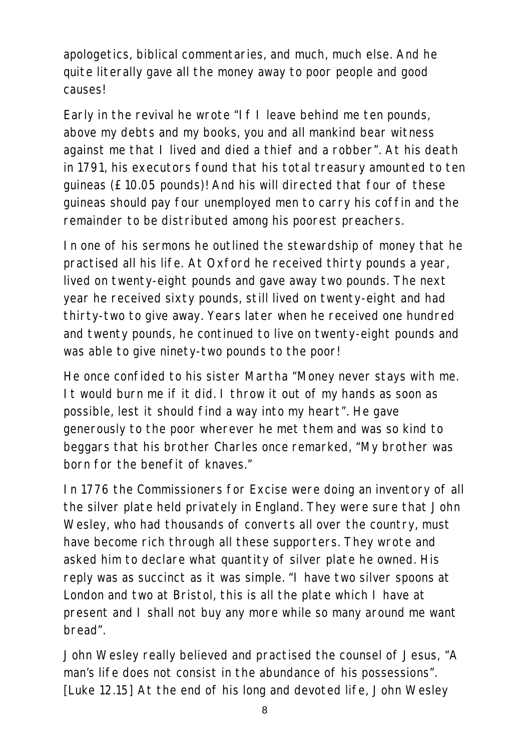apologetics, biblical commentaries, and much, much else. And he quite literally gave all the money away to poor people and good causes!

Early in the revival he wrote "If I leave behind me ten pounds, above my debts and my books, you and all mankind bear witness against me that I lived and died a thief and a robber". At his death in 1791, his executors found that his total treasury amounted to ten guineas (£10.05 pounds)! And his will directed that four of these guineas should pay four unemployed men to carry his coffin and the remainder to be distributed among his poorest preachers.

In one of his sermons he outlined the stewardship of money that he practised all his life. At Oxford he received thirty pounds a year, lived on twenty-eight pounds and gave away two pounds. The next year he received sixty pounds, still lived on twenty-eight and had thirty-two to give away. Years later when he received one hundred and twenty pounds, he continued to live on twenty-eight pounds and was able to give ninety-two pounds to the poor!

He once confided to his sister Martha "Money never stays with me. It would burn me if it did. I throw it out of my hands as soon as possible, lest it should find a way into my heart". He gave generously to the poor wherever he met them and was so kind to beggars that his brother Charles once remarked, "My brother was born for the benefit of knaves."

In 1776 the Commissioners for Excise were doing an inventory of all the silver plate held privately in England. They were sure that John Wesley, who had thousands of converts all over the country, must have become rich through all these supporters. They wrote and asked him to declare what quantity of silver plate he owned. His reply was as succinct as it was simple. "I have two silver spoons at London and two at Bristol, this is all the plate which I have at present and I shall not buy any more while so many around me want bread".

John Wesley really believed and practised the counsel of Jesus, "A man's life does not consist in the abundance of his possessions". [Luke 12.15] At the end of his long and devoted life, John Wesley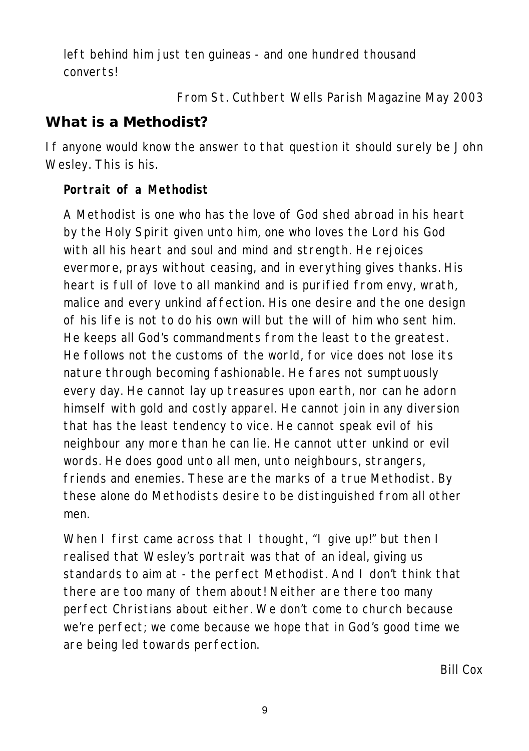left behind him just ten guineas - and one hundred thousand converts!

*From St. Cuthbert Wells Parish Magazine May 2003*

## **What is a Methodist?**

If anyone would know the answer to that question it should surely be John Wesley. This is his.

#### **Portrait of a Methodist**

A Methodist is one who has the love of God shed abroad in his heart by the Holy Spirit given unto him, one who loves the Lord his God with all his heart and soul and mind and strength. He rejoices evermore, prays without ceasing, and in everything gives thanks. His heart is full of love to all mankind and is purified from envy, wrath, malice and every unkind affection. His one desire and the one design of his life is not to do his own will but the will of him who sent him. He keeps all God's commandments from the least to the greatest. He follows not the customs of the world, for vice does not lose its nature through becoming fashionable. He fares not sumptuously every day. He cannot lay up treasures upon earth, nor can he adorn himself with gold and costly apparel. He cannot join in any diversion that has the least tendency to vice. He cannot speak evil of his neighbour any more than he can lie. He cannot utter unkind or evil words. He does good unto all men, unto neighbours, strangers, friends and enemies. These are the marks of a true Methodist. By these alone do Methodists desire to be distinguished from all other men.

When I first came across that I thought, "I give up!" but then I realised that Wesley's portrait was that of an ideal, giving us standards to aim at - the perfect Methodist. And I don't think that there are too many of them about! Neither are there too many perfect Christians about either. We don't come to church because we're perfect; we come because we hope that in God's good time we are being led towards perfection.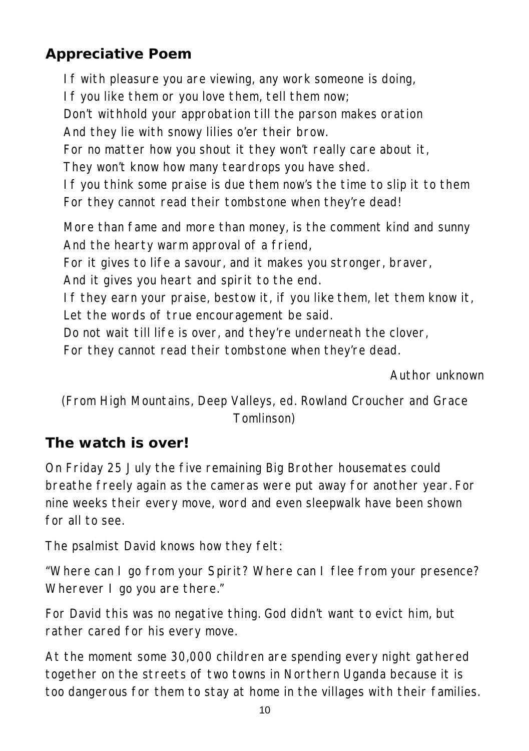# **Appreciative Poem**

If with pleasure you are viewing, any work someone is doing,

If you like them or you love them, tell them now;

Don't withhold your approbation till the parson makes oration And they lie with snowy lilies o'er their brow.

For no matter how you shout it they won't really care about it, They won't know how many teardrops you have shed.

If you think some praise is due them now's the time to slip it to them For they cannot read their tombstone when they're dead!

More than fame and more than money, is the comment kind and sunny And the hearty warm approval of a friend,

For it gives to life a savour, and it makes you stronger, braver,

And it gives you heart and spirit to the end.

If they earn your praise, bestow it, if you like them, let them know it, Let the words of true encouragement be said.

Do not wait till life is over, and they're underneath the clover,

For they cannot read their tombstone when they're dead.

#### *Author unknown*

(From High Mountains, Deep Valleys, ed. Rowland Croucher and Grace Tomlinson)

# **The watch is over!**

On Friday 25 July the five remaining Big Brother housemates could breathe freely again as the cameras were put away for another year. For nine weeks their every move, word and even sleepwalk have been shown for all to see.

The psalmist David knows how they felt:

"Where can I go from your Spirit? Where can I flee from your presence? Wherever I go you are there."

For David this was no negative thing. God didn't want to evict him, but rather cared for his every move.

At the moment some 30,000 children are spending every night gathered together on the streets of two towns in Northern Uganda because it is too dangerous for them to stay at home in the villages with their families.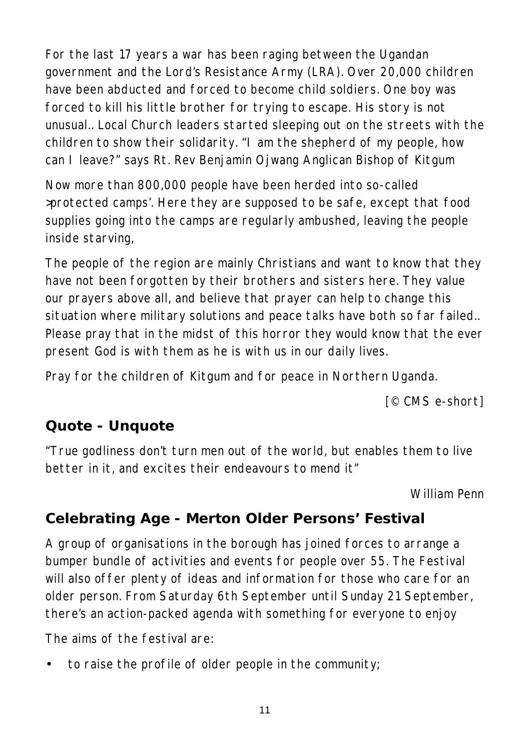For the last 17 years a war has been raging between the Ugandan government and the Lord's Resistance Army (LRA). Over 20,000 children have been abducted and forced to become child soldiers. One boy was forced to kill his little brother for trying to escape. His story is not unusual.. Local Church leaders started sleeping out on the streets with the children to show their solidarity. "I am the shepherd of my people, how can I leave?" says Rt. Rev Benjamin Ojwang Anglican Bishop of Kitgum

Now more than 800,000 people have been herded into so-called >protected camps'. Here they are supposed to be safe, except that food supplies going into the camps are regularly ambushed, leaving the people inside starving,

The people of the region are mainly Christians and want to know that they have not been forgotten by their brothers and sisters here. They value our prayers above all, and believe that prayer can help to change this situation where military solutions and peace talks have both so far failed.. Please pray that in the midst of this horror they would know that the ever present God is with them as he is with us in our daily lives.

Pray for the children of Kitgum and for peace in Northern Uganda.

*[© CMS e-short]*

# **Quote - Unquote**

"True godliness don't turn men out of the world, but enables them to live better in it, and excites their endeavours to mend it"

*William Penn*

# **Celebrating Age - Merton Older Persons' Festival**

A group of organisations in the borough has joined forces to arrange a bumper bundle of activities and events for people over 55. The Festival will also offer plenty of ideas and information for those who care for an older person. From Saturday 6th September until Sunday 21 September, there's an action-packed agenda with something for everyone to enjoy

The aims of the festival are:

to raise the profile of older people in the community;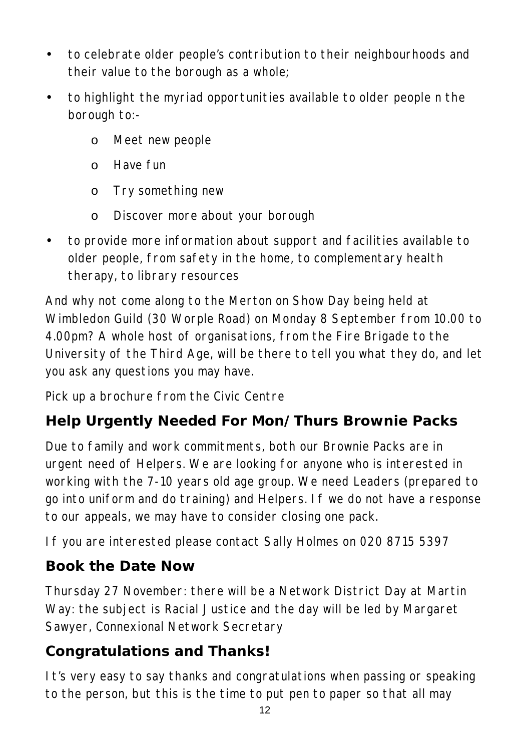- to celebrate older people's contribution to their neighbourhoods and their value to the borough as a whole;
- to highlight the myriad opportunities available to older people n the borough to:
	- o Meet new people
	- o Have fun
	- o Try something new
	- o Discover more about your borough
- to provide more information about support and facilities available to older people, from safety in the home, to complementary health therapy, to library resources

And why not come along to the Merton on Show Day being held at Wimbledon Guild (30 Worple Road) on Monday 8 September from 10.00 to 4.00pm? A whole host of organisations, from the Fire Brigade to the University of the Third Age, will be there to tell you what they do, and let you ask any questions you may have.

Pick up a brochure from the Civic Centre

## **Help Urgently Needed For Mon/Thurs Brownie Packs**

Due to family and work commitments, both our Brownie Packs are in urgent need of Helpers. We are looking for anyone who is interested in working with the 7-10 years old age group. We need Leaders (prepared to go into uniform and do training) and Helpers. If we do not have a response to our appeals, we may have to consider closing one pack.

If you are interested please contact Sally Holmes on 020 8715 5397

## **Book the Date Now**

Thursday 27 November: there will be a Network District Day at Martin Way: the subject is Racial Justice and the day will be led by Margaret Sawyer, Connexional Network Secretary

## **Congratulations and Thanks!**

It's very easy to say thanks and congratulations when passing or speaking to the person, but this is the time to put pen to paper so that all may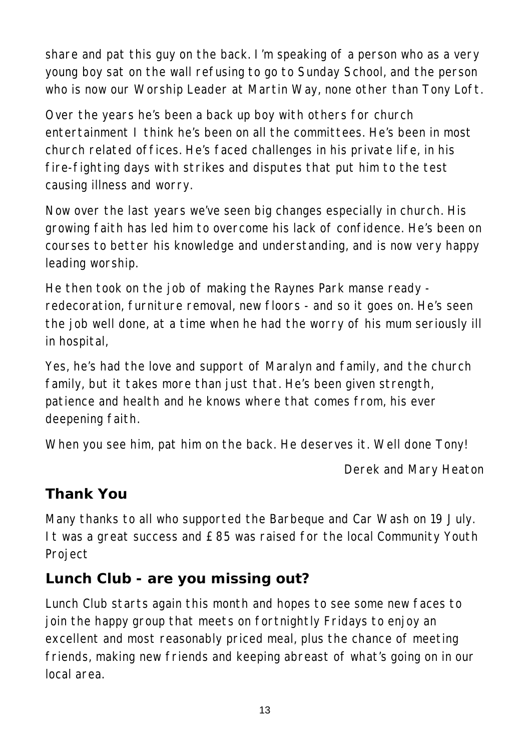share and pat this guy on the back. I'm speaking of a person who as a very young boy sat on the wall refusing to go to Sunday School, and the person who is now our Worship Leader at Martin Way, none other than Tony Loft.

Over the years he's been a back up boy with others for church entertainment I think he's been on all the committees. He's been in most church related offices. He's faced challenges in his private life, in his fire-fighting days with strikes and disputes that put him to the test causing illness and worry.

Now over the last years we've seen big changes especially in church. His growing faith has led him to overcome his lack of confidence. He's been on courses to better his knowledge and understanding, and is now very happy leading worship.

He then took on the job of making the Raynes Park manse ready redecoration, furniture removal, new floors - and so it goes on. He's seen the job well done, at a time when he had the worry of his mum seriously ill in hospital,

Yes, he's had the love and support of Maralyn and family, and the church family, but it takes more than just that. He's been given strength, patience and health and he knows where that comes from, his ever deepening faith.

When you see him, pat him on the back. He deserves it. Well done Tony!

*Derek and Mary Heaton*

# **Thank You**

Many thanks to all who supported the Barbeque and Car Wash on 19 July. It was a great success and £85 was raised for the local Community Youth Project

# **Lunch Club - are you missing out?**

Lunch Club starts again this month and hopes to see some new faces to join the happy group that meets on fortnightly Fridays to enjoy an excellent and most reasonably priced meal, plus the chance of meeting friends, making new friends and keeping abreast of what's going on in our local area.